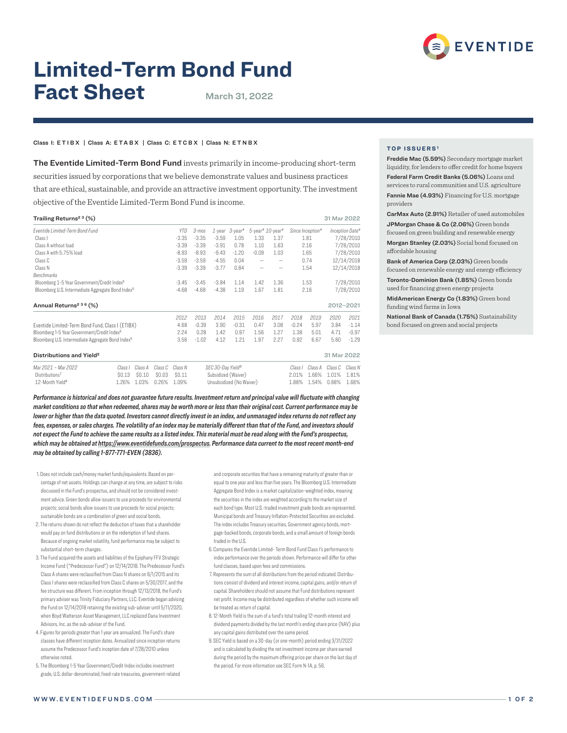

# **Limited-Term Bond Fund Fact Sheet** March 31, 2022

### Class I: ETIBX | Class A: ETABX | Class C: ETCBX | Class N: E T N B X

The Eventide Limited-Term Bond Fund invests primarily in income-producing short-term securities issued by corporations that we believe demonstrate values and business practices that are ethical, sustainable, and provide an attractive investment opportunity. The investment objective of the Eventide Limited-Term Bond Fund is income.

| Trailing Returns <sup>23</sup> (%)                            |            |         |         |                                  |                          |                                                                                |         |      | 31 Mar 2022                 |           |
|---------------------------------------------------------------|------------|---------|---------|----------------------------------|--------------------------|--------------------------------------------------------------------------------|---------|------|-----------------------------|-----------|
| Eventide Limited-Term Bond Fund                               | <b>YTD</b> | 3-mos   |         | $1$ -year $3$ -year <sup>4</sup> |                          | $5$ -year <sup>4</sup> $10$ -year <sup>4</sup><br>Since Inception <sup>4</sup> |         |      | Inception Date <sup>4</sup> |           |
| Class I                                                       | $-3.35$    | $-3.35$ | $-3.59$ | 1.05                             | 1.33                     | 1.37                                                                           | 1.81    |      | 7/28/2010                   |           |
| Class A without load                                          | $-3.39$    | $-3.39$ | $-3.91$ | 0.78                             | 1.10                     | 1.63                                                                           |         | 2.16 |                             | 7/28/2010 |
| Class A with 5.75% load                                       | $-8.93$    | $-8.93$ | $-9.43$ | $-1.20$                          | $-0.09$                  | 1.03                                                                           | 1.65    |      | 7/28/2010                   |           |
| Class C                                                       | $-3.59$    | $-3.59$ | $-4.55$ | 0.04                             | -                        |                                                                                | 0.74    |      | 12/14/2018                  |           |
| Class N                                                       | $-3.39$    | $-3.39$ | $-3.77$ | 0.84                             | $\overline{\phantom{0}}$ | -                                                                              | 1.54    |      | 12/14/2018                  |           |
| Benchmarks                                                    |            |         |         |                                  |                          |                                                                                |         |      |                             |           |
| Bloomberg 1-5 Year Government/Credit Index <sup>5</sup>       | $-3.45$    | $-3.45$ | $-3.84$ | 1.14                             | 1.42                     | 1.36                                                                           | 1.53    |      | 7/28/2010                   |           |
| Bloomberg U.S. Intermediate Aggregate Bond Index <sup>5</sup> | $-4.68$    | $-4.68$ | $-4.38$ | 1.19                             | 1.67                     | 1.81                                                                           | 2.16    |      |                             | 7/28/2010 |
| Annual Returns <sup>2 3 6</sup> (%)                           |            |         |         |                                  |                          |                                                                                |         |      | 2012-2021                   |           |
|                                                               | 2012       | 2013    | 2014    | 2015                             | 2016                     | 2017                                                                           | 2018    | 2019 | 2020                        | 2021      |
| Eventide Limited-Term Bond Fund, Class I (ETIBX)              | 4.68       | $-0.39$ | 3.90    | $-0.31$                          | 0.47                     | 3.08                                                                           | $-0.24$ | 5.97 | 3.84                        | $-1.14$   |
| Bloomberg 1-5 Year Government/Credit Index <sup>5</sup>       | 2.24       | 0.28    | 1.42    | 0.97                             | 1.56                     | 1.27                                                                           | 1.38    | 5.01 | 4.71                        | $-0.97$   |
| Bloomberg U.S. Intermediate Aggregate Bond Index <sup>5</sup> | 3.56       | $-1.02$ | 4.12    | 1.21                             | 1.97                     | 2.27                                                                           | 0.92    | 6.67 | 5.60                        | $-1.29$   |
| Distributions and Yield <sup>2</sup>                          |            |         |         |                                  |                          |                                                                                |         |      | 31 Mar 2022                 |           |

| Mar 2021 – Mar 2022         |  | Class I Class A Class C Class N | SEC 30-Day Yield <sup>9</sup> |  | Class I Class A Class C Class N |  |
|-----------------------------|--|---------------------------------|-------------------------------|--|---------------------------------|--|
| Distributions <sup>7</sup>  |  | \$0.13 \$0.10 \$0.03 \$0.11     | Subsidized (Waiver)           |  | 2.01% 1.66% 1.01% 1.81%         |  |
| 12-Month Yield <sup>8</sup> |  | 1.26% 1.03% 0.26% 1.09%         | Unsubsidized (No Waiver)      |  | 1.88% 1.54% 0.88% 1.68%         |  |

*Performance is historical and does not guarantee future results. Investment return and principal value will fluctuate with changing market conditions so that when redeemed, shares may be worth more or less than their original cost. Current performance may be lower or higher than the data quoted. Investors cannot directly invest in an index, and unmanaged index returns do not reflect any fees, expenses, or sales charges. The volatility of an index may be materially different than that of the Fund, and investors should not expect the Fund to achieve the same results as a listed index. This material must be read along with the Fund's prospectus, which may be obtained at https://www.eventidefunds.com/prospectus. Performance data current to the most recent month-end may be obtained by calling 1-877-771-EVEN (3836).*

- 1. Does not include cash/money market funds/equivalents. Based on percentage of net assets. Holdings can change at any time, are subject to risks discussed in the Fund's prospectus, and should not be considered investment advice. Green bonds allow issuers to use proceeds for environmental projects; social bonds allow issuers to use proceeds for social projects; sustainable bonds are a combination of green and social bonds.
- 2. The returns shown do not reflect the deduction of taxes that a shareholder would pay on fund distributions or on the redemption of fund shares. Because of ongoing market volatility, fund performance may be subject to substantial short-term changes.
- 3. The Fund acquired the assets and liabilities of the Epiphany FFV Strategic Income Fund ("Predecessor Fund") on 12/14/2018. The Predecessor Fund's Class A shares were reclassified from Class N shares on 6/1/2015 and its Class I shares were reclassified from Class C shares on 5/30/2017, and the fee structure was different. From inception through 12/13/2018, the Fund's primary adviser was Trinity Fiduciary Partners, LLC. Eventide began advising the Fund on 12/14/2018 retaining the existing sub-adviser until 5/11/2020, when Boyd Watterson Asset Management, LLC replaced Dana Investment Advisors, Inc. as the sub-adviser of the Fund.
- 4. Figures for periods greater than 1 year are annualized. The Fund's share classes have different inception dates. Annualized since inception returns assume the Predecessor Fund's inception date of 7/28/2010 unless otherwise noted.
- 5. The Bloomberg 1-5 Year Government/Credit Index includes investment grade, U.S. dollar-denominated, fixed-rate treasuries, government-related

and corporate securities that have a remaining maturity of greater than or equal to one year and less than five years. The Bloomberg U.S. Intermediate Aggregate Bond Index is a market capitalization-weighted index, meaning the securities in the index are weighted according to the market size of each bond type. Most U.S.-traded investment grade bonds are represented. Municipal bonds and Treasury Inflation-Protected Securities are excluded. The index includes Treasury securities, Government agency bonds, mortgage-backed bonds, corporate bonds, and a small amount of foreign bonds traded in the U.S.

- 6. Compares the Eventide Limited- Term Bond Fund Class I's performance to index performance over the periods shown. Performance will differ for other fund classes, based upon fees and commissions.
- 7. Represents the sum of all distributions from the period indicated. Distributions consist of dividend and interest income, capital gains, and/or return of capital. Shareholders should not assume that Fund distributions represent net profit. Income may be distributed regardless of whether such income will be treated as return of capital.
- 8. 12-Month Yield is the sum of a fund's total trailing 12-month interest and dividend payments divided by the last month's ending share price (NAV) plus any capital gains distributed over the same period.
- 9. SEC Yield is based on a 30-day (or one-month) period ending 3/31/2022 and is calculated by dividing the net investment income per share earned during the period by the maximum offering price per share on the last day of the period. For more information see SEC Form N-1A, p. 56.

# **TOP ISSUERS¹**

Freddie Mac (5.59%) Secondary mortgage market liquidity, for lenders to offer credit for home buyers Federal Farm Credit Banks (5.06%) Loans and services to rural communities and U.S. agriculture Fannie Mae (4.93%) Financing for U.S. mortgage providers

CarMax Auto (2.91%) Retailer of used automobiles JPMorgan Chase & Co (2.06%) Green bonds focused on green building and renewable energy Morgan Stanley (2.03%) Social bond focused on affordable housing

Bank of America Corp (2.03%) Green bonds focused on renewable energy and energy efficiency Toronto-Dominion Bank (1.85%) Green bonds used for financing green energy projects

MidAmerican Energy Co (1.83%) Green bond funding wind farms in Iowa

National Bank of Canada (1.75%) Sustainability bond focused on green and social projects